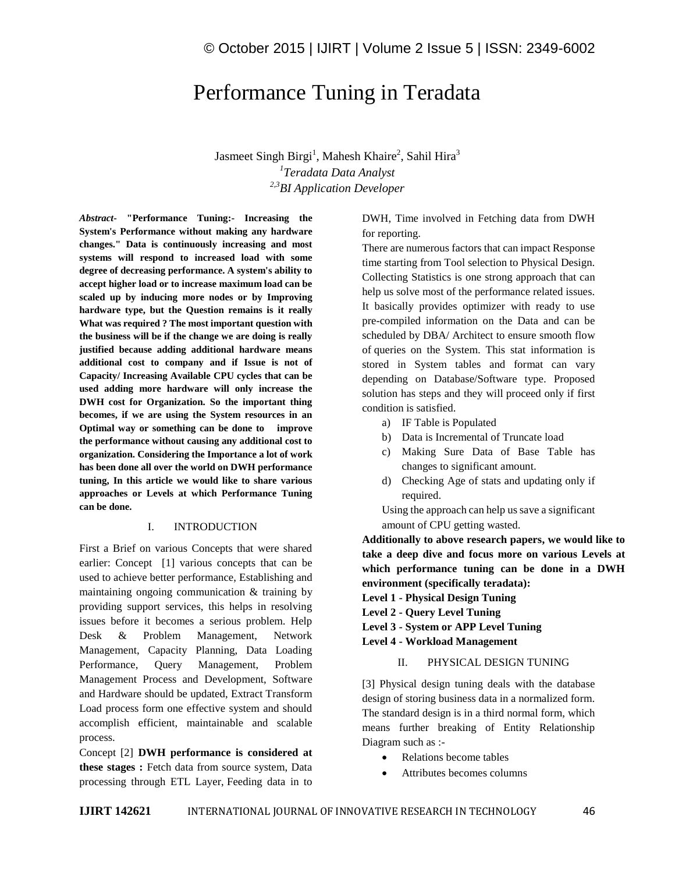# Performance Tuning in Teradata

Jasmeet Singh Birgi<sup>1</sup>, Mahesh Khaire<sup>2</sup>, Sahil Hira<sup>3</sup> *1 Teradata Data Analyst 2,3BI Application Developer*

*Abstract-* **"Performance Tuning:- Increasing the System's Performance without making any hardware changes." Data is continuously increasing and most systems will respond to increased load with some degree of decreasing performance. A system's ability to accept higher load or to increase maximum load can be scaled up by inducing more nodes or by Improving hardware type, but the Question remains is it really What was required ? The most important question with the business will be if the change we are doing is really justified because adding additional hardware means additional cost to company and if Issue is not of Capacity/ Increasing Available CPU cycles that can be used adding more hardware will only increase the DWH cost for Organization. So the important thing becomes, if we are using the System resources in an Optimal way or something can be done to improve the performance without causing any additional cost to organization. Considering the Importance a lot of work has been done all over the world on DWH performance tuning, In this article we would like to share various approaches or Levels at which Performance Tuning can be done.**

### I. INTRODUCTION

First a Brief on various Concepts that were shared earlier: Concept [1] various concepts that can be used to achieve better performance, Establishing and maintaining ongoing communication & training by providing support services, this helps in resolving issues before it becomes a serious problem. Help Desk & Problem Management, Network Management, Capacity Planning, Data Loading Performance, Query Management, Problem Management Process and Development, Software and Hardware should be updated, Extract Transform Load process form one effective system and should accomplish efficient, maintainable and scalable process.

Concept [2] **DWH performance is considered at these stages :** Fetch data from source system, Data processing through ETL Layer, Feeding data in to

# DWH, Time involved in Fetching data from DWH for reporting.

There are numerous factors that can impact Response time starting from Tool selection to Physical Design. Collecting Statistics is one strong approach that can help us solve most of the performance related issues. It basically provides optimizer with ready to use pre-compiled information on the Data and can be scheduled by DBA/ Architect to ensure smooth flow of queries on the System. This stat information is stored in System tables and format can vary depending on Database/Software type. Proposed solution has steps and they will proceed only if first condition is satisfied.

- a) IF Table is Populated
- b) Data is Incremental of Truncate load
- c) Making Sure Data of Base Table has changes to significant amount.
- d) Checking Age of stats and updating only if required.

Using the approach can help us save a significant amount of CPU getting wasted.

**Additionally to above research papers, we would like to take a deep dive and focus more on various Levels at which performance tuning can be done in a DWH environment (specifically teradata):**

**Level 1 - Physical Design Tuning**

**Level 2 - Query Level Tuning**

**Level 3 - System or APP Level Tuning**

**Level 4 - Workload Management**

#### II. PHYSICAL DESIGN TUNING

[3] Physical design tuning deals with the database design of storing business data in a normalized form. The standard design is in a third normal form, which means further breaking of Entity Relationship Diagram such as :-

- Relations become tables
- Attributes becomes columns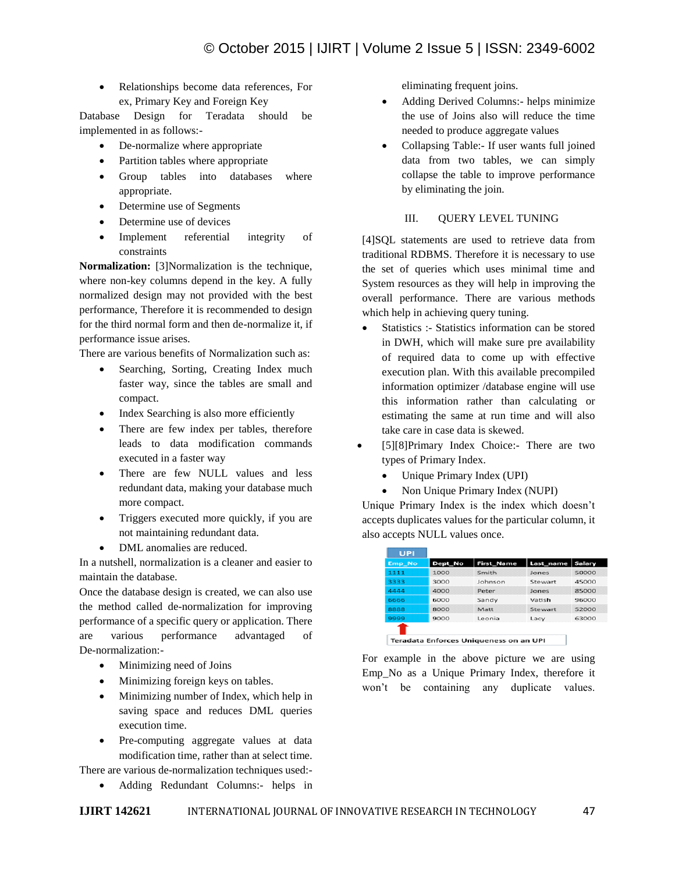Relationships become data references, For ex, Primary Key and Foreign Key

Database Design for Teradata should be implemented in as follows:-

- De-normalize where appropriate
- Partition tables where appropriate
- Group tables into databases where appropriate.
- Determine use of Segments
- Determine use of devices
- Implement referential integrity of constraints

**Normalization:** [3]Normalization is the technique, where non-key columns depend in the key. A fully normalized design may not provided with the best performance, Therefore it is recommended to design for the third normal form and then de-normalize it, if performance issue arises.

There are various benefits of Normalization such as:

- Searching, Sorting, Creating Index much faster way, since the tables are small and compact.
- Index Searching is also more efficiently
- There are few index per tables, therefore leads to data modification commands executed in a faster way
- There are few NULL values and less redundant data, making your database much more compact.
- Triggers executed more quickly, if you are not maintaining redundant data.
- DML anomalies are reduced.

In a nutshell, normalization is a cleaner and easier to maintain the database.

Once the database design is created, we can also use the method called de-normalization for improving performance of a specific query or application. There are various performance advantaged of De-normalization:-

- Minimizing need of Joins
- Minimizing foreign keys on tables.
- Minimizing number of Index, which help in saving space and reduces DML queries execution time.
- Pre-computing aggregate values at data modification time, rather than at select time.

There are various de-normalization techniques used:-

Adding Redundant Columns:- helps in

eliminating frequent joins.

- Adding Derived Columns:- helps minimize the use of Joins also will reduce the time needed to produce aggregate values
- Collapsing Table:- If user wants full joined data from two tables, we can simply collapse the table to improve performance by eliminating the join.

# III. QUERY LEVEL TUNING

[4]SQL statements are used to retrieve data from traditional RDBMS. Therefore it is necessary to use the set of queries which uses minimal time and System resources as they will help in improving the overall performance. There are various methods which help in achieving query tuning.

- Statistics :- Statistics information can be stored in DWH, which will make sure pre availability of required data to come up with effective execution plan. With this available precompiled information optimizer /database engine will use this information rather than calculating or estimating the same at run time and will also take care in case data is skewed.
- [5][8]Primary Index Choice:- There are two types of Primary Index.
	- Unique Primary Index (UPI)
	- Non Unique Primary Index (NUPI)

Unique Primary Index is the index which doesn't accepts duplicates values for the particular column, it also accepts NULL values once.

| <b>UPI</b> |         |                                        |           |        |  |
|------------|---------|----------------------------------------|-----------|--------|--|
| Emp No     | Dept_No | <b>First_Name</b>                      | Last_name | Salary |  |
| 1111       | 1000    | Smith                                  | Jones     | 50000  |  |
| 3333       | 3000    | Johnson                                | Stewart   | 45000  |  |
| 4444       | 4000    | Peter                                  | Jones     | 85000  |  |
| 6666       | 6000    | Sandy                                  | Vatish    | 96000  |  |
| 8888       | 8000    | Matt                                   | Stewart   | 52000  |  |
| 9999       | 9000    | Leonia                                 | Lacy      | 63000  |  |
|            |         |                                        |           |        |  |
|            |         | Toppdate Enforces Uniquences on an UBL |           |        |  |

Teradata Enforces Uniqueness on an UPI

For example in the above picture we are using Emp\_No as a Unique Primary Index, therefore it won't be containing any duplicate values.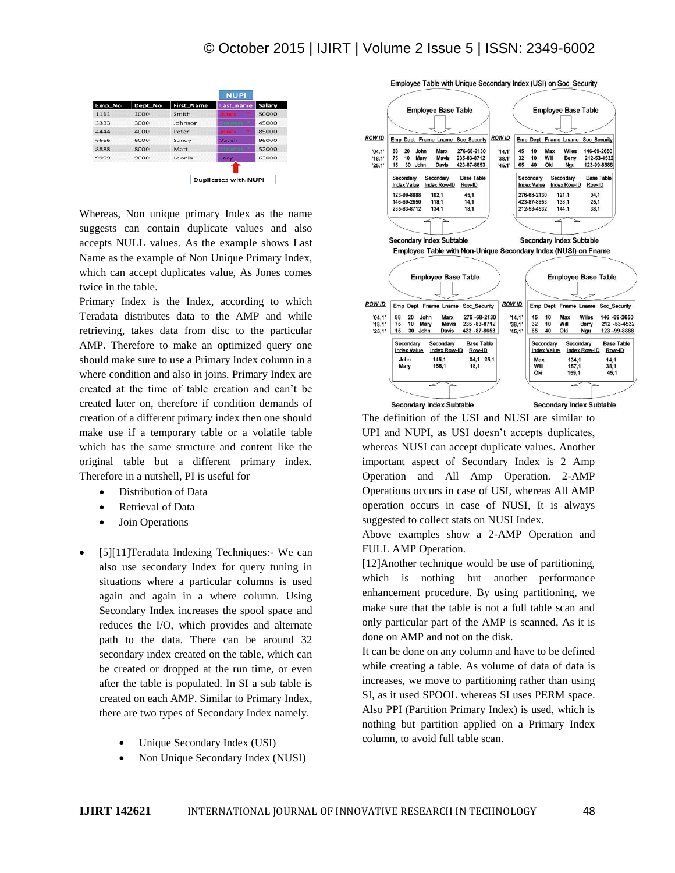# © October 2015 | IJIRT | Volume 2 Issue 5 | ISSN: 2349-6002



Whereas, Non unique primary Index as the name suggests can contain duplicate values and also accepts NULL values. As the example shows Last Name as the example of Non Unique Primary Index, which can accept duplicates value, As Jones comes twice in the table.

Primary Index is the Index, according to which Teradata distributes data to the AMP and while retrieving, takes data from disc to the particular AMP. Therefore to make an optimized query one should make sure to use a Primary Index column in a where condition and also in joins. Primary Index are created at the time of table creation and can't be created later on, therefore if condition demands of creation of a different primary index then one should make use if a temporary table or a volatile table which has the same structure and content like the original table but a different primary index. Therefore in a nutshell, PI is useful for

- Distribution of Data
- Retrieval of Data
- Join Operations
- [5][11]Teradata Indexing Techniques:- We can also use secondary Index for query tuning in situations where a particular columns is used again and again in a where column. Using Secondary Index increases the spool space and reduces the I/O, which provides and alternate path to the data. There can be around 32 secondary index created on the table, which can be created or dropped at the run time, or even after the table is populated. In SI a sub table is created on each AMP. Similar to Primary Index, there are two types of Secondary Index namely.
	- Unique Secondary Index (USI)
	- Non Unique Secondary Index (NUSI)



The definition of the USI and NUSI are similar to UPI and NUPI, as USI doesn't accepts duplicates, whereas NUSI can accept duplicate values. Another important aspect of Secondary Index is 2 Amp Operation and All Amp Operation. 2-AMP Operations occurs in case of USI, whereas All AMP operation occurs in case of NUSI, It is always suggested to collect stats on NUSI Index.

Above examples show a 2-AMP Operation and FULL AMP Operation.

[12]Another technique would be use of partitioning, which is nothing but another performance enhancement procedure. By using partitioning, we make sure that the table is not a full table scan and only particular part of the AMP is scanned, As it is done on AMP and not on the disk.

It can be done on any column and have to be defined while creating a table. As volume of data of data is increases, we move to partitioning rather than using SI, as it used SPOOL whereas SI uses PERM space. Also PPI (Partition Primary Index) is used, which is nothing but partition applied on a Primary Index column, to avoid full table scan.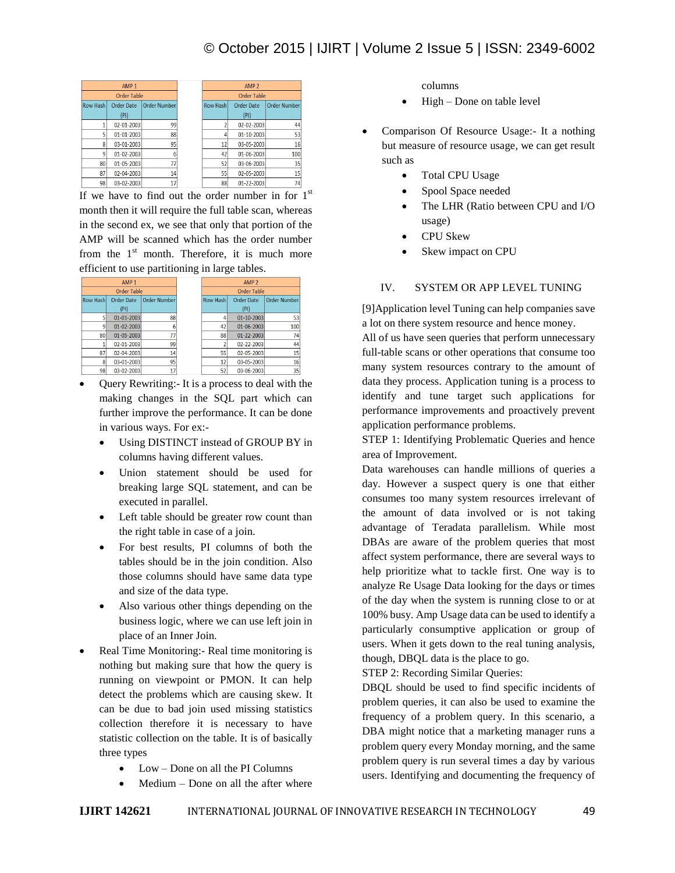# © October 2015 | IJIRT | Volume 2 Issue 5 | ISSN: 2349-6002

| AMP <sub>1</sub> |                   |                     |  |
|------------------|-------------------|---------------------|--|
| Order Table      |                   |                     |  |
| <b>Row Hash</b>  | <b>Order Date</b> | <b>Order Number</b> |  |
|                  | (PI)              |                     |  |
|                  | 02-01-2003        | 99                  |  |
|                  | 01-01-2003        | 88                  |  |
| 8                | 03-01-2003        | 95                  |  |
| 9                | 01-02-2003        | 6                   |  |
| 80               | 01-05-2003        | 77                  |  |
| 87               | 02-04-2003        | 14                  |  |
| 98               | 03-02-2003        | 17                  |  |

If we have to find out the order number in for  $1<sup>st</sup>$ month then it will require the full table scan, whereas in the second ex, we see that only that portion of the AMP will be scanned which has the order number from the  $1<sup>st</sup>$  month. Therefore, it is much more efficient to use partitioning in large tables.

| AMP <sub>1</sub>   |                   |                     |
|--------------------|-------------------|---------------------|
| <b>Order Table</b> |                   |                     |
| <b>Row Hash</b>    | <b>Order Date</b> | <b>Order Number</b> |
|                    | (PI)              |                     |
| 5                  | $01 - 01 - 2003$  | 88                  |
| q                  | 01-02-2003        | ĥ                   |
| 80                 | 01-05-2003        | 77                  |
|                    | 02-01-2003        | 99                  |
| 87                 | 02-04-2003        | 14                  |
| 8                  | 03-01-2003        | 95                  |
| 98                 | 03-02-2003        | 17                  |

- Query Rewriting:- It is a process to deal with the making changes in the SQL part which can further improve the performance. It can be done in various ways. For ex:-
	- Using DISTINCT instead of GROUP BY in columns having different values.
	- Union statement should be used for breaking large SQL statement, and can be executed in parallel.
	- Left table should be greater row count than the right table in case of a join.
	- For best results, PI columns of both the tables should be in the join condition. Also those columns should have same data type and size of the data type.
	- Also various other things depending on the business logic, where we can use left join in place of an Inner Join.
- Real Time Monitoring:- Real time monitoring is nothing but making sure that how the query is running on viewpoint or PMON. It can help detect the problems which are causing skew. It can be due to bad join used missing statistics collection therefore it is necessary to have statistic collection on the table. It is of basically three types
	- Low Done on all the PI Columns
	- Medium Done on all the after where

columns

- $\bullet$  High Done on table level
- Comparison Of Resource Usage:- It a nothing but measure of resource usage, we can get result such as
	- Total CPU Usage
	- Spool Space needed
	- The LHR (Ratio between CPU and I/O usage)
	- CPU Skew
	- Skew impact on CPU

### IV. SYSTEM OR APP LEVEL TUNING

[9]Application level Tuning can help companies save a lot on there system resource and hence money.

All of us have seen queries that perform unnecessary full-table scans or other operations that consume too many system resources contrary to the amount of data they process. Application tuning is a process to identify and tune target such applications for performance improvements and proactively prevent application performance problems.

STEP 1: Identifying Problematic Queries and hence area of Improvement.

Data warehouses can handle millions of queries a day. However a suspect query is one that either consumes too many system resources irrelevant of the amount of data involved or is not taking advantage of Teradata parallelism. While most DBAs are aware of the problem queries that most affect system performance, there are several ways to help prioritize what to tackle first. One way is to analyze Re Usage Data looking for the days or times of the day when the system is running close to or at 100% busy. Amp Usage data can be used to identify a particularly consumptive application or group of users. When it gets down to the real tuning analysis, though, DBQL data is the place to go.

STEP 2: Recording Similar Queries:

DBQL should be used to find specific incidents of problem queries, it can also be used to examine the frequency of a problem query. In this scenario, a DBA might notice that a marketing manager runs a problem query every Monday morning, and the same problem query is run several times a day by various users. Identifying and documenting the frequency of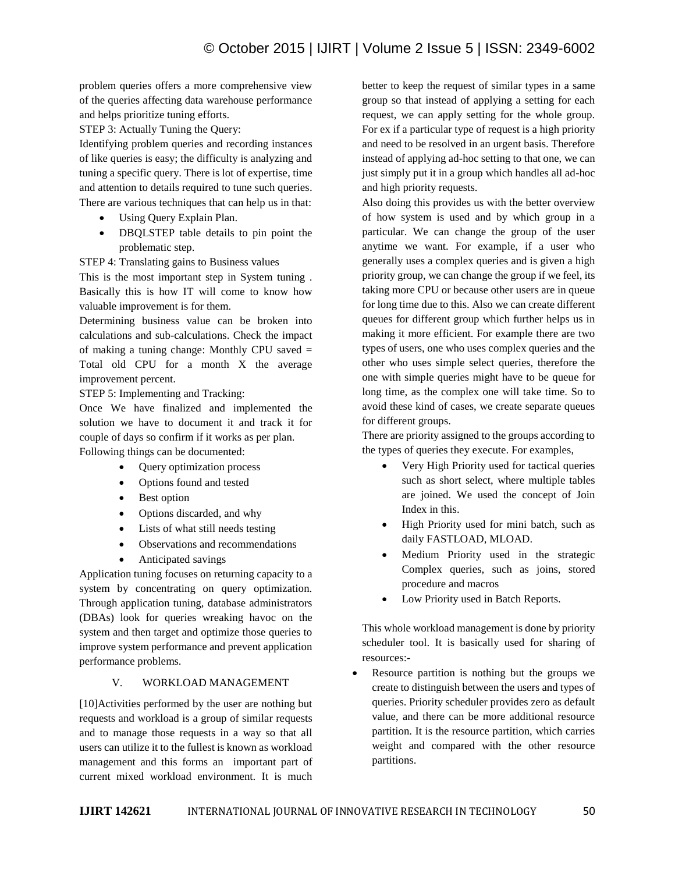problem queries offers a more comprehensive view of the queries affecting data warehouse performance and helps prioritize tuning efforts.

STEP 3: Actually Tuning the Query:

Identifying problem queries and recording instances of like queries is easy; the difficulty is analyzing and tuning a specific query. There is lot of expertise, time and attention to details required to tune such queries. There are various techniques that can help us in that:

- Using Query Explain Plan.
- DBQLSTEP table details to pin point the problematic step.

STEP 4: Translating gains to Business values

This is the most important step in System tuning . Basically this is how IT will come to know how valuable improvement is for them.

Determining business value can be broken into calculations and sub-calculations. Check the impact of making a tuning change: Monthly CPU saved = Total old CPU for a month X the average improvement percent.

STEP 5: Implementing and Tracking:

Once We have finalized and implemented the solution we have to document it and track it for couple of days so confirm if it works as per plan. Following things can be documented:

- Query optimization process
- Options found and tested
- Best option
- Options discarded, and why
- Lists of what still needs testing
- Observations and recommendations
- Anticipated savings

Application tuning focuses on returning capacity to a system by concentrating on query optimization. Through application tuning, database administrators (DBAs) look for queries wreaking havoc on the system and then target and optimize those queries to improve system performance and prevent application performance problems.

# V. WORKLOAD MANAGEMENT

[10]Activities performed by the user are nothing but requests and workload is a group of similar requests and to manage those requests in a way so that all users can utilize it to the fullest is known as workload management and this forms an important part of current mixed workload environment. It is much

better to keep the request of similar types in a same group so that instead of applying a setting for each request, we can apply setting for the whole group. For ex if a particular type of request is a high priority and need to be resolved in an urgent basis. Therefore instead of applying ad-hoc setting to that one, we can just simply put it in a group which handles all ad-hoc and high priority requests.

Also doing this provides us with the better overview of how system is used and by which group in a particular. We can change the group of the user anytime we want. For example, if a user who generally uses a complex queries and is given a high priority group, we can change the group if we feel, its taking more CPU or because other users are in queue for long time due to this. Also we can create different queues for different group which further helps us in making it more efficient. For example there are two types of users, one who uses complex queries and the other who uses simple select queries, therefore the one with simple queries might have to be queue for long time, as the complex one will take time. So to avoid these kind of cases, we create separate queues for different groups.

There are priority assigned to the groups according to the types of queries they execute. For examples,

- Very High Priority used for tactical queries such as short select, where multiple tables are joined. We used the concept of Join Index in this.
- High Priority used for mini batch, such as daily FASTLOAD, MLOAD.
- Medium Priority used in the strategic Complex queries, such as joins, stored procedure and macros
- Low Priority used in Batch Reports.

This whole workload management is done by priority scheduler tool. It is basically used for sharing of resources:-

 Resource partition is nothing but the groups we create to distinguish between the users and types of queries. Priority scheduler provides zero as default value, and there can be more additional resource partition. It is the resource partition, which carries weight and compared with the other resource partitions.